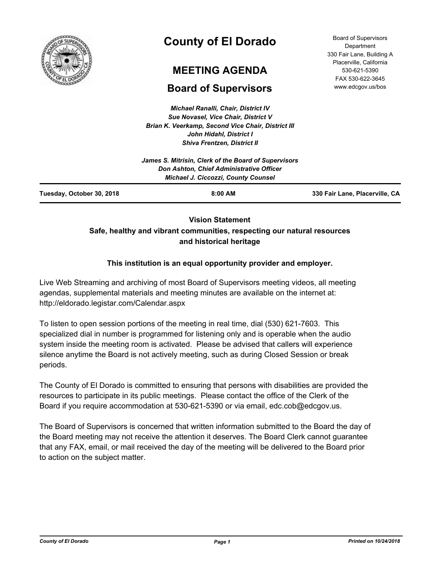

# **County of El Dorado**

# **MEETING AGENDA**

# **Board of Supervisors**

*Michael Ranalli, Chair, District IV Sue Novasel, Vice Chair, District V Brian K. Veerkamp, Second Vice Chair, District III John Hidahl, District I Shiva Frentzen, District II*

Board of Supervisors **Department** 330 Fair Lane, Building A Placerville, California 530-621-5390 FAX 530-622-3645 www.edcgov.us/bos

| Tuesday, October 30, 2018 | $8:00$ AM                                                                              | 330 Fair Lane, Placerville, CA |
|---------------------------|----------------------------------------------------------------------------------------|--------------------------------|
|                           | Don Ashton, Chief Administrative Officer<br><b>Michael J. Ciccozzi, County Counsel</b> |                                |
|                           | James S. Mitrisin, Clerk of the Board of Supervisors                                   |                                |
|                           |                                                                                        |                                |

# **Vision Statement Safe, healthy and vibrant communities, respecting our natural resources and historical heritage**

## **This institution is an equal opportunity provider and employer.**

Live Web Streaming and archiving of most Board of Supervisors meeting videos, all meeting agendas, supplemental materials and meeting minutes are available on the internet at: http://eldorado.legistar.com/Calendar.aspx

To listen to open session portions of the meeting in real time, dial (530) 621-7603. This specialized dial in number is programmed for listening only and is operable when the audio system inside the meeting room is activated. Please be advised that callers will experience silence anytime the Board is not actively meeting, such as during Closed Session or break periods.

The County of El Dorado is committed to ensuring that persons with disabilities are provided the resources to participate in its public meetings. Please contact the office of the Clerk of the Board if you require accommodation at 530-621-5390 or via email, edc.cob@edcgov.us.

The Board of Supervisors is concerned that written information submitted to the Board the day of the Board meeting may not receive the attention it deserves. The Board Clerk cannot guarantee that any FAX, email, or mail received the day of the meeting will be delivered to the Board prior to action on the subject matter.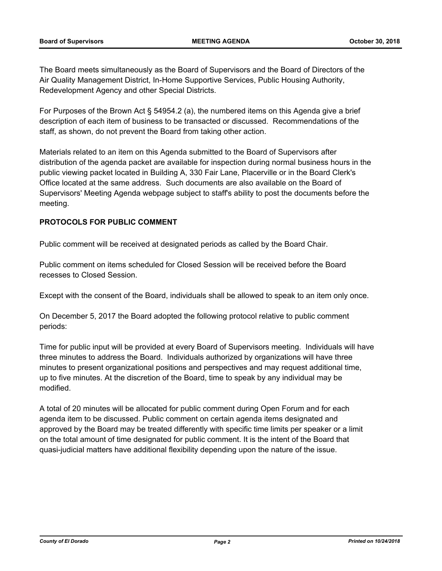The Board meets simultaneously as the Board of Supervisors and the Board of Directors of the Air Quality Management District, In-Home Supportive Services, Public Housing Authority, Redevelopment Agency and other Special Districts.

For Purposes of the Brown Act § 54954.2 (a), the numbered items on this Agenda give a brief description of each item of business to be transacted or discussed. Recommendations of the staff, as shown, do not prevent the Board from taking other action.

Materials related to an item on this Agenda submitted to the Board of Supervisors after distribution of the agenda packet are available for inspection during normal business hours in the public viewing packet located in Building A, 330 Fair Lane, Placerville or in the Board Clerk's Office located at the same address. Such documents are also available on the Board of Supervisors' Meeting Agenda webpage subject to staff's ability to post the documents before the meeting.

## **PROTOCOLS FOR PUBLIC COMMENT**

Public comment will be received at designated periods as called by the Board Chair.

Public comment on items scheduled for Closed Session will be received before the Board recesses to Closed Session.

Except with the consent of the Board, individuals shall be allowed to speak to an item only once.

On December 5, 2017 the Board adopted the following protocol relative to public comment periods:

Time for public input will be provided at every Board of Supervisors meeting. Individuals will have three minutes to address the Board. Individuals authorized by organizations will have three minutes to present organizational positions and perspectives and may request additional time, up to five minutes. At the discretion of the Board, time to speak by any individual may be modified.

A total of 20 minutes will be allocated for public comment during Open Forum and for each agenda item to be discussed. Public comment on certain agenda items designated and approved by the Board may be treated differently with specific time limits per speaker or a limit on the total amount of time designated for public comment. It is the intent of the Board that quasi-judicial matters have additional flexibility depending upon the nature of the issue.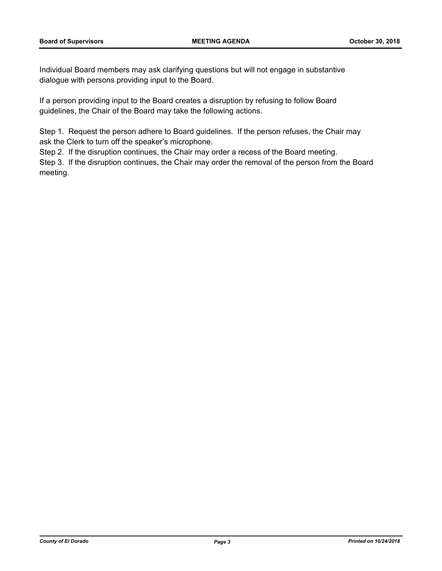Individual Board members may ask clarifying questions but will not engage in substantive dialogue with persons providing input to the Board.

If a person providing input to the Board creates a disruption by refusing to follow Board guidelines, the Chair of the Board may take the following actions.

Step 1. Request the person adhere to Board guidelines. If the person refuses, the Chair may ask the Clerk to turn off the speaker's microphone.

Step 2. If the disruption continues, the Chair may order a recess of the Board meeting.

Step 3. If the disruption continues, the Chair may order the removal of the person from the Board meeting.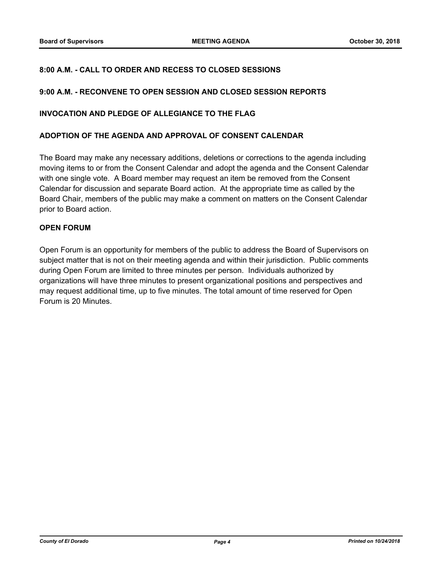## **8:00 A.M. - CALL TO ORDER AND RECESS TO CLOSED SESSIONS**

### **9:00 A.M. - RECONVENE TO OPEN SESSION AND CLOSED SESSION REPORTS**

### **INVOCATION AND PLEDGE OF ALLEGIANCE TO THE FLAG**

### **ADOPTION OF THE AGENDA AND APPROVAL OF CONSENT CALENDAR**

The Board may make any necessary additions, deletions or corrections to the agenda including moving items to or from the Consent Calendar and adopt the agenda and the Consent Calendar with one single vote. A Board member may request an item be removed from the Consent Calendar for discussion and separate Board action. At the appropriate time as called by the Board Chair, members of the public may make a comment on matters on the Consent Calendar prior to Board action.

### **OPEN FORUM**

Open Forum is an opportunity for members of the public to address the Board of Supervisors on subject matter that is not on their meeting agenda and within their jurisdiction. Public comments during Open Forum are limited to three minutes per person. Individuals authorized by organizations will have three minutes to present organizational positions and perspectives and may request additional time, up to five minutes. The total amount of time reserved for Open Forum is 20 Minutes.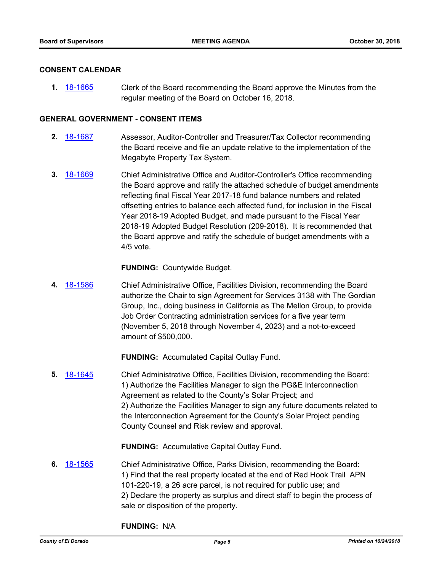### **CONSENT CALENDAR**

**1.** [18-1665](http://eldorado.legistar.com/gateway.aspx?m=l&id=/matter.aspx?key=25016) Clerk of the Board recommending the Board approve the Minutes from the regular meeting of the Board on October 16, 2018.

### **GENERAL GOVERNMENT - CONSENT ITEMS**

- **2.** [18-1687](http://eldorado.legistar.com/gateway.aspx?m=l&id=/matter.aspx?key=25038) Assessor, Auditor-Controller and Treasurer/Tax Collector recommending the Board receive and file an update relative to the implementation of the Megabyte Property Tax System.
- **3.** [18-1669](http://eldorado.legistar.com/gateway.aspx?m=l&id=/matter.aspx?key=25020) Chief Administrative Office and Auditor-Controller's Office recommending the Board approve and ratify the attached schedule of budget amendments reflecting final Fiscal Year 2017-18 fund balance numbers and related offsetting entries to balance each affected fund, for inclusion in the Fiscal Year 2018-19 Adopted Budget, and made pursuant to the Fiscal Year 2018-19 Adopted Budget Resolution (209-2018). It is recommended that the Board approve and ratify the schedule of budget amendments with a 4/5 vote.

**FUNDING:** Countywide Budget.

**4.** [18-1586](http://eldorado.legistar.com/gateway.aspx?m=l&id=/matter.aspx?key=24937) Chief Administrative Office, Facilities Division, recommending the Board authorize the Chair to sign Agreement for Services 3138 with The Gordian Group, Inc., doing business in California as The Mellon Group, to provide Job Order Contracting administration services for a five year term (November 5, 2018 through November 4, 2023) and a not-to-exceed amount of \$500,000.

**FUNDING:** Accumulated Capital Outlay Fund.

**5.** [18-1645](http://eldorado.legistar.com/gateway.aspx?m=l&id=/matter.aspx?key=24996) Chief Administrative Office, Facilities Division, recommending the Board: 1) Authorize the Facilities Manager to sign the PG&E Interconnection Agreement as related to the County's Solar Project; and 2) Authorize the Facilities Manager to sign any future documents related to the Interconnection Agreement for the County's Solar Project pending County Counsel and Risk review and approval.

**FUNDING:** Accumulative Capital Outlay Fund.

**6.** [18-1565](http://eldorado.legistar.com/gateway.aspx?m=l&id=/matter.aspx?key=24916) Chief Administrative Office, Parks Division, recommending the Board: 1) Find that the real property located at the end of Red Hook Trail APN 101-220-19, a 26 acre parcel, is not required for public use; and 2) Declare the property as surplus and direct staff to begin the process of sale or disposition of the property.

**FUNDING:** N/A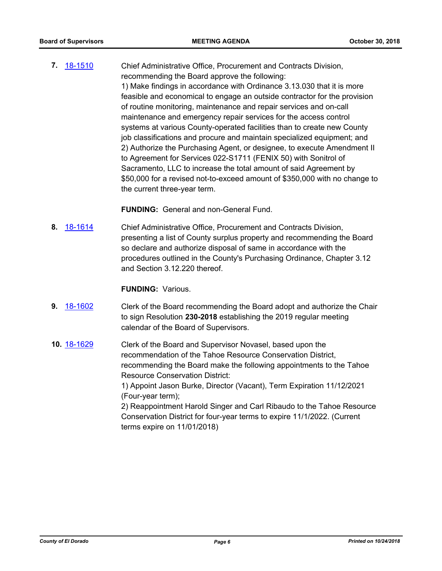**7.** [18-1510](http://eldorado.legistar.com/gateway.aspx?m=l&id=/matter.aspx?key=24861) Chief Administrative Office, Procurement and Contracts Division, recommending the Board approve the following: 1) Make findings in accordance with Ordinance 3.13.030 that it is more feasible and economical to engage an outside contractor for the provision of routine monitoring, maintenance and repair services and on-call maintenance and emergency repair services for the access control systems at various County-operated facilities than to create new County job classifications and procure and maintain specialized equipment; and 2) Authorize the Purchasing Agent, or designee, to execute Amendment II to Agreement for Services 022-S1711 (FENIX 50) with Sonitrol of Sacramento, LLC to increase the total amount of said Agreement by \$50,000 for a revised not-to-exceed amount of \$350,000 with no change to the current three-year term.

**FUNDING:** General and non-General Fund.

**8.** [18-1614](http://eldorado.legistar.com/gateway.aspx?m=l&id=/matter.aspx?key=24965) Chief Administrative Office, Procurement and Contracts Division, presenting a list of County surplus property and recommending the Board so declare and authorize disposal of same in accordance with the procedures outlined in the County's Purchasing Ordinance, Chapter 3.12 and Section 3.12.220 thereof.

### **FUNDING:** Various.

- **9.** [18-1602](http://eldorado.legistar.com/gateway.aspx?m=l&id=/matter.aspx?key=24953) Clerk of the Board recommending the Board adopt and authorize the Chair to sign Resolution **230-2018** establishing the 2019 regular meeting calendar of the Board of Supervisors.
- **10.** [18-1629](http://eldorado.legistar.com/gateway.aspx?m=l&id=/matter.aspx?key=24980) Clerk of the Board and Supervisor Novasel, based upon the recommendation of the Tahoe Resource Conservation District, recommending the Board make the following appointments to the Tahoe Resource Conservation District: 1) Appoint Jason Burke, Director (Vacant), Term Expiration 11/12/2021 (Four-year term); 2) Reappointment Harold Singer and Carl Ribaudo to the Tahoe Resource Conservation District for four-year terms to expire 11/1/2022. (Current terms expire on 11/01/2018)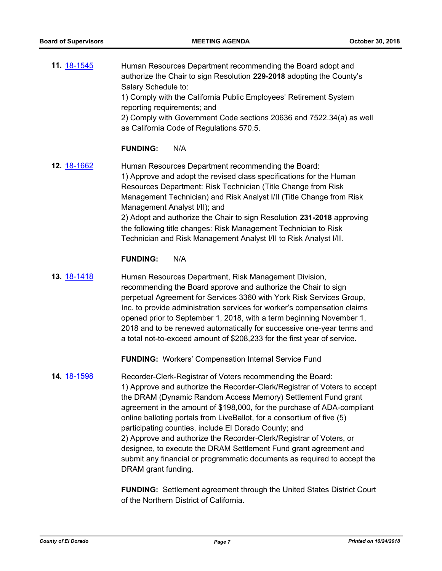**11.** [18-1545](http://eldorado.legistar.com/gateway.aspx?m=l&id=/matter.aspx?key=24896) Human Resources Department recommending the Board adopt and authorize the Chair to sign Resolution **229-2018** adopting the County's Salary Schedule to: 1) Comply with the California Public Employees' Retirement System reporting requirements; and 2) Comply with Government Code sections 20636 and 7522.34(a) as well as California Code of Regulations 570.5.

### **FUNDING:** N/A

**12.** [18-1662](http://eldorado.legistar.com/gateway.aspx?m=l&id=/matter.aspx?key=25013) Human Resources Department recommending the Board: 1) Approve and adopt the revised class specifications for the Human Resources Department: Risk Technician (Title Change from Risk Management Technician) and Risk Analyst I/II (Title Change from Risk Management Analyst I/II); and 2) Adopt and authorize the Chair to sign Resolution **231-2018** approving the following title changes: Risk Management Technician to Risk Technician and Risk Management Analyst I/II to Risk Analyst I/II.

### **FUNDING:** N/A

**13.** [18-1418](http://eldorado.legistar.com/gateway.aspx?m=l&id=/matter.aspx?key=24770) Human Resources Department, Risk Management Division, recommending the Board approve and authorize the Chair to sign perpetual Agreement for Services 3360 with York Risk Services Group, Inc. to provide administration services for worker's compensation claims opened prior to September 1, 2018, with a term beginning November 1, 2018 and to be renewed automatically for successive one-year terms and a total not-to-exceed amount of \$208,233 for the first year of service.

**FUNDING:** Workers' Compensation Internal Service Fund

**14.** [18-1598](http://eldorado.legistar.com/gateway.aspx?m=l&id=/matter.aspx?key=24949) Recorder-Clerk-Registrar of Voters recommending the Board: 1) Approve and authorize the Recorder-Clerk/Registrar of Voters to accept the DRAM (Dynamic Random Access Memory) Settlement Fund grant agreement in the amount of \$198,000, for the purchase of ADA-compliant online balloting portals from LiveBallot, for a consortium of five (5) participating counties, include El Dorado County; and 2) Approve and authorize the Recorder-Clerk/Registrar of Voters, or designee, to execute the DRAM Settlement Fund grant agreement and submit any financial or programmatic documents as required to accept the DRAM grant funding.

> **FUNDING:** Settlement agreement through the United States District Court of the Northern District of California.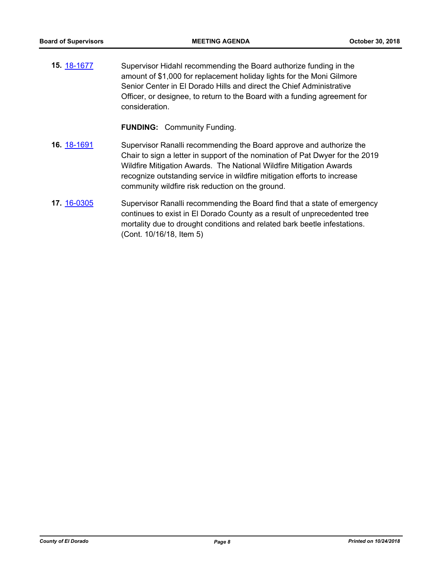**15.** [18-1677](http://eldorado.legistar.com/gateway.aspx?m=l&id=/matter.aspx?key=25028) Supervisor Hidahl recommending the Board authorize funding in the amount of \$1,000 for replacement holiday lights for the Moni Gilmore Senior Center in El Dorado Hills and direct the Chief Administrative Officer, or designee, to return to the Board with a funding agreement for consideration.

**FUNDING:** Community Funding.

- **16.** [18-1691](http://eldorado.legistar.com/gateway.aspx?m=l&id=/matter.aspx?key=25042) Supervisor Ranalli recommending the Board approve and authorize the Chair to sign a letter in support of the nomination of Pat Dwyer for the 2019 Wildfire Mitigation Awards. The National Wildfire Mitigation Awards recognize outstanding service in wildfire mitigation efforts to increase community wildfire risk reduction on the ground.
- **17.** [16-0305](http://eldorado.legistar.com/gateway.aspx?m=l&id=/matter.aspx?key=20961) Supervisor Ranalli recommending the Board find that a state of emergency continues to exist in El Dorado County as a result of unprecedented tree mortality due to drought conditions and related bark beetle infestations. (Cont. 10/16/18, Item 5)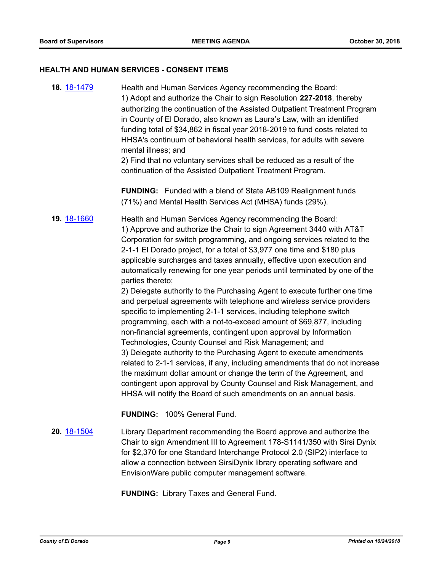#### **HEALTH AND HUMAN SERVICES - CONSENT ITEMS**

**18.** [18-1479](http://eldorado.legistar.com/gateway.aspx?m=l&id=/matter.aspx?key=24830) Health and Human Services Agency recommending the Board: 1) Adopt and authorize the Chair to sign Resolution **227-2018**, thereby authorizing the continuation of the Assisted Outpatient Treatment Program in County of El Dorado, also known as Laura's Law, with an identified funding total of \$34,862 in fiscal year 2018-2019 to fund costs related to HHSA's continuum of behavioral health services, for adults with severe mental illness; and

2) Find that no voluntary services shall be reduced as a result of the continuation of the Assisted Outpatient Treatment Program.

**FUNDING:** Funded with a blend of State AB109 Realignment funds (71%) and Mental Health Services Act (MHSA) funds (29%).

**19.** [18-1660](http://eldorado.legistar.com/gateway.aspx?m=l&id=/matter.aspx?key=25011) Health and Human Services Agency recommending the Board: 1) Approve and authorize the Chair to sign Agreement 3440 with AT&T Corporation for switch programming, and ongoing services related to the 2-1-1 El Dorado project, for a total of \$3,977 one time and \$180 plus applicable surcharges and taxes annually, effective upon execution and automatically renewing for one year periods until terminated by one of the parties thereto;

> 2) Delegate authority to the Purchasing Agent to execute further one time and perpetual agreements with telephone and wireless service providers specific to implementing 2-1-1 services, including telephone switch programming, each with a not-to-exceed amount of \$69,877, including non-financial agreements, contingent upon approval by Information Technologies, County Counsel and Risk Management; and 3) Delegate authority to the Purchasing Agent to execute amendments related to 2-1-1 services, if any, including amendments that do not increase the maximum dollar amount or change the term of the Agreement, and contingent upon approval by County Counsel and Risk Management, and HHSA will notify the Board of such amendments on an annual basis.

**FUNDING:** 100% General Fund.

# **20.** [18-1504](http://eldorado.legistar.com/gateway.aspx?m=l&id=/matter.aspx?key=24855) Library Department recommending the Board approve and authorize the Chair to sign Amendment III to Agreement 178-S1141/350 with Sirsi Dynix for \$2,370 for one Standard Interchange Protocol 2.0 (SIP2) interface to allow a connection between SirsiDynix library operating software and EnvisionWare public computer management software.

**FUNDING:** Library Taxes and General Fund.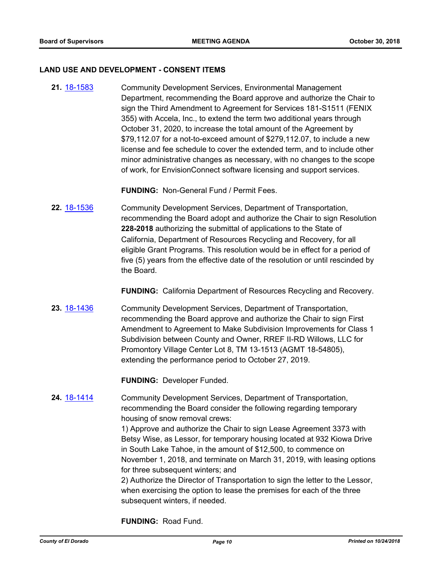#### **LAND USE AND DEVELOPMENT - CONSENT ITEMS**

**21.** [18-1583](http://eldorado.legistar.com/gateway.aspx?m=l&id=/matter.aspx?key=24934) Community Development Services, Environmental Management Department, recommending the Board approve and authorize the Chair to sign the Third Amendment to Agreement for Services 181-S1511 (FENIX 355) with Accela, Inc., to extend the term two additional years through October 31, 2020, to increase the total amount of the Agreement by \$79,112.07 for a not-to-exceed amount of \$279,112.07, to include a new license and fee schedule to cover the extended term, and to include other minor administrative changes as necessary, with no changes to the scope of work, for EnvisionConnect software licensing and support services.

**FUNDING:** Non-General Fund / Permit Fees.

**22.** [18-1536](http://eldorado.legistar.com/gateway.aspx?m=l&id=/matter.aspx?key=24887) Community Development Services, Department of Transportation, recommending the Board adopt and authorize the Chair to sign Resolution **228-2018** authorizing the submittal of applications to the State of California, Department of Resources Recycling and Recovery, for all eligible Grant Programs. This resolution would be in effect for a period of five (5) years from the effective date of the resolution or until rescinded by the Board.

**FUNDING:** California Department of Resources Recycling and Recovery.

**23.** [18-1436](http://eldorado.legistar.com/gateway.aspx?m=l&id=/matter.aspx?key=24788) Community Development Services, Department of Transportation, recommending the Board approve and authorize the Chair to sign First Amendment to Agreement to Make Subdivision Improvements for Class 1 Subdivision between County and Owner, RREF II-RD Willows, LLC for Promontory Village Center Lot 8, TM 13-1513 (AGMT 18-54805), extending the performance period to October 27, 2019.

**FUNDING:** Developer Funded.

**24.** [18-1414](http://eldorado.legistar.com/gateway.aspx?m=l&id=/matter.aspx?key=24766) Community Development Services, Department of Transportation, recommending the Board consider the following regarding temporary housing of snow removal crews:

> 1) Approve and authorize the Chair to sign Lease Agreement 3373 with Betsy Wise, as Lessor, for temporary housing located at 932 Kiowa Drive in South Lake Tahoe, in the amount of \$12,500, to commence on November 1, 2018, and terminate on March 31, 2019, with leasing options for three subsequent winters; and

2) Authorize the Director of Transportation to sign the letter to the Lessor, when exercising the option to lease the premises for each of the three subsequent winters, if needed.

**FUNDING:** Road Fund.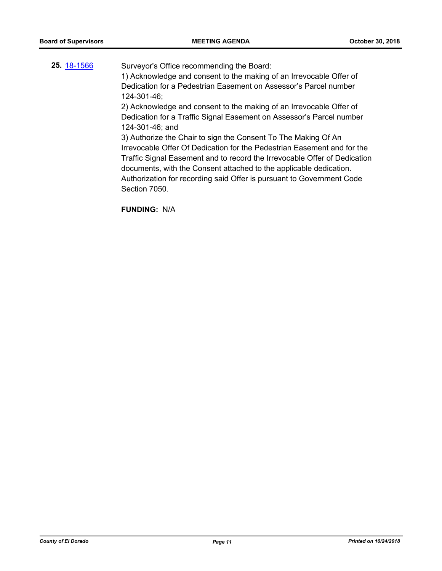25. [18-1566](http://eldorado.legistar.com/gateway.aspx?m=l&id=/matter.aspx?key=24917) Surveyor's Office recommending the Board: 1) Acknowledge and consent to the making of an Irrevocable Offer of Dedication for a Pedestrian Easement on Assessor's Parcel number 124-301-46; 2) Acknowledge and consent to the making of an Irrevocable Offer of Dedication for a Traffic Signal Easement on Assessor's Parcel number 124-301-46; and 3) Authorize the Chair to sign the Consent To The Making Of An Irrevocable Offer Of Dedication for the Pedestrian Easement and for the Traffic Signal Easement and to record the Irrevocable Offer of Dedication documents, with the Consent attached to the applicable dedication. Authorization for recording said Offer is pursuant to Government Code Section 7050.

**FUNDING:** N/A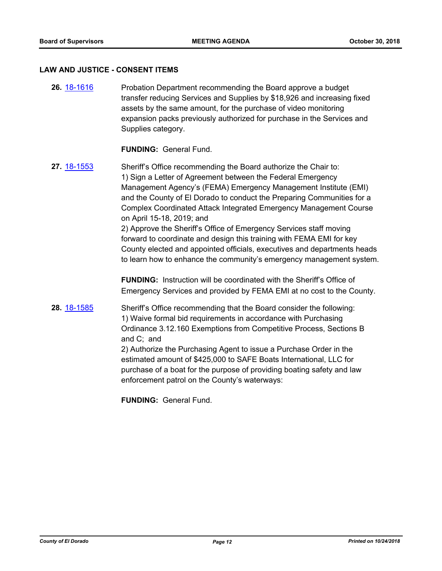#### **LAW AND JUSTICE - CONSENT ITEMS**

**26.** [18-1616](http://eldorado.legistar.com/gateway.aspx?m=l&id=/matter.aspx?key=24967) Probation Department recommending the Board approve a budget transfer reducing Services and Supplies by \$18,926 and increasing fixed assets by the same amount, for the purchase of video monitoring expansion packs previously authorized for purchase in the Services and Supplies category.

### **FUNDING:** General Fund.

**27.** [18-1553](http://eldorado.legistar.com/gateway.aspx?m=l&id=/matter.aspx?key=24904) Sheriff's Office recommending the Board authorize the Chair to: 1) Sign a Letter of Agreement between the Federal Emergency Management Agency's (FEMA) Emergency Management Institute (EMI) and the County of El Dorado to conduct the Preparing Communities for a Complex Coordinated Attack Integrated Emergency Management Course on April 15-18, 2019; and 2) Approve the Sheriff's Office of Emergency Services staff moving forward to coordinate and design this training with FEMA EMI for key County elected and appointed officials, executives and departments heads to learn how to enhance the community's emergency management system.

> **FUNDING:** Instruction will be coordinated with the Sheriff's Office of Emergency Services and provided by FEMA EMI at no cost to the County.

**28.** [18-1585](http://eldorado.legistar.com/gateway.aspx?m=l&id=/matter.aspx?key=24936) Sheriff's Office recommending that the Board consider the following: 1) Waive formal bid requirements in accordance with Purchasing Ordinance 3.12.160 Exemptions from Competitive Process, Sections B and C; and

> 2) Authorize the Purchasing Agent to issue a Purchase Order in the estimated amount of \$425,000 to SAFE Boats International, LLC for purchase of a boat for the purpose of providing boating safety and law enforcement patrol on the County's waterways:

**FUNDING:** General Fund.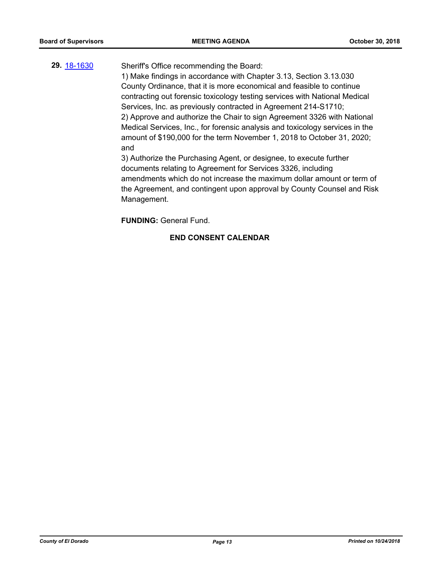# **29.** [18-1630](http://eldorado.legistar.com/gateway.aspx?m=l&id=/matter.aspx?key=24981) Sheriff's Office recommending the Board:

1) Make findings in accordance with Chapter 3.13, Section 3.13.030 County Ordinance, that it is more economical and feasible to continue contracting out forensic toxicology testing services with National Medical Services, Inc. as previously contracted in Agreement 214-S1710; 2) Approve and authorize the Chair to sign Agreement 3326 with National Medical Services, Inc., for forensic analysis and toxicology services in the amount of \$190,000 for the term November 1, 2018 to October 31, 2020; and

3) Authorize the Purchasing Agent, or designee, to execute further documents relating to Agreement for Services 3326, including amendments which do not increase the maximum dollar amount or term of the Agreement, and contingent upon approval by County Counsel and Risk Management.

**FUNDING:** General Fund.

## **END CONSENT CALENDAR**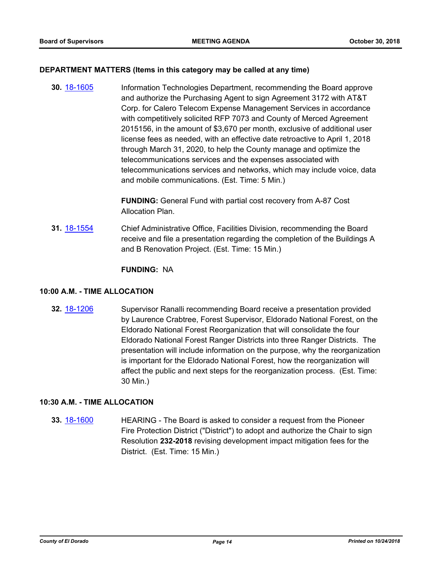### **DEPARTMENT MATTERS (Items in this category may be called at any time)**

**30.** [18-1605](http://eldorado.legistar.com/gateway.aspx?m=l&id=/matter.aspx?key=24956) Information Technologies Department, recommending the Board approve and authorize the Purchasing Agent to sign Agreement 3172 with AT&T Corp. for Calero Telecom Expense Management Services in accordance with competitively solicited RFP 7073 and County of Merced Agreement 2015156, in the amount of \$3,670 per month, exclusive of additional user license fees as needed, with an effective date retroactive to April 1, 2018 through March 31, 2020, to help the County manage and optimize the telecommunications services and the expenses associated with telecommunications services and networks, which may include voice, data and mobile communications. (Est. Time: 5 Min.)

> **FUNDING:** General Fund with partial cost recovery from A-87 Cost Allocation Plan.

**31.** [18-1554](http://eldorado.legistar.com/gateway.aspx?m=l&id=/matter.aspx?key=24905) Chief Administrative Office, Facilities Division, recommending the Board receive and file a presentation regarding the completion of the Buildings A and B Renovation Project. (Est. Time: 15 Min.)

### **FUNDING:** NA

### **10:00 A.M. - TIME ALLOCATION**

**32.** [18-1206](http://eldorado.legistar.com/gateway.aspx?m=l&id=/matter.aspx?key=24557) Supervisor Ranalli recommending Board receive a presentation provided by Laurence Crabtree, Forest Supervisor, Eldorado National Forest, on the Eldorado National Forest Reorganization that will consolidate the four Eldorado National Forest Ranger Districts into three Ranger Districts. The presentation will include information on the purpose, why the reorganization is important for the Eldorado National Forest, how the reorganization will affect the public and next steps for the reorganization process. (Est. Time: 30 Min.)

### **10:30 A.M. - TIME ALLOCATION**

**33.** [18-1600](http://eldorado.legistar.com/gateway.aspx?m=l&id=/matter.aspx?key=24951) HEARING - The Board is asked to consider a request from the Pioneer Fire Protection District ("District") to adopt and authorize the Chair to sign Resolution **232-2018** revising development impact mitigation fees for the District. (Est. Time: 15 Min.)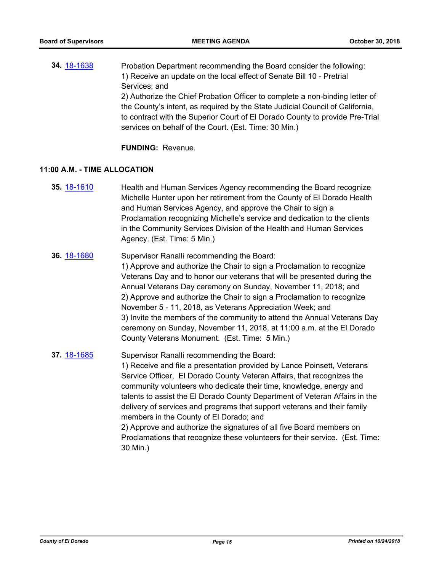**34.** [18-1638](http://eldorado.legistar.com/gateway.aspx?m=l&id=/matter.aspx?key=24989) Probation Department recommending the Board consider the following: 1) Receive an update on the local effect of Senate Bill 10 - Pretrial Services; and 2) Authorize the Chief Probation Officer to complete a non-binding letter of the County's intent, as required by the State Judicial Council of California, to contract with the Superior Court of El Dorado County to provide Pre-Trial services on behalf of the Court. (Est. Time: 30 Min.)

**FUNDING:** Revenue.

### **11:00 A.M. - TIME ALLOCATION**

- **35.** [18-1610](http://eldorado.legistar.com/gateway.aspx?m=l&id=/matter.aspx?key=24961) Health and Human Services Agency recommending the Board recognize Michelle Hunter upon her retirement from the County of El Dorado Health and Human Services Agency, and approve the Chair to sign a Proclamation recognizing Michelle's service and dedication to the clients in the Community Services Division of the Health and Human Services Agency. (Est. Time: 5 Min.)
- **36.** [18-1680](http://eldorado.legistar.com/gateway.aspx?m=l&id=/matter.aspx?key=25031) Supervisor Ranalli recommending the Board: 1) Approve and authorize the Chair to sign a Proclamation to recognize Veterans Day and to honor our veterans that will be presented during the Annual Veterans Day ceremony on Sunday, November 11, 2018; and 2) Approve and authorize the Chair to sign a Proclamation to recognize November 5 - 11, 2018, as Veterans Appreciation Week; and 3) Invite the members of the community to attend the Annual Veterans Day ceremony on Sunday, November 11, 2018, at 11:00 a.m. at the El Dorado County Veterans Monument. (Est. Time: 5 Min.)

**37.** [18-1685](http://eldorado.legistar.com/gateway.aspx?m=l&id=/matter.aspx?key=25036) Supervisor Ranalli recommending the Board: 1) Receive and file a presentation provided by Lance Poinsett, Veterans Service Officer, El Dorado County Veteran Affairs, that recognizes the community volunteers who dedicate their time, knowledge, energy and talents to assist the El Dorado County Department of Veteran Affairs in the delivery of services and programs that support veterans and their family members in the County of El Dorado; and 2) Approve and authorize the signatures of all five Board members on Proclamations that recognize these volunteers for their service. (Est. Time: 30 Min.)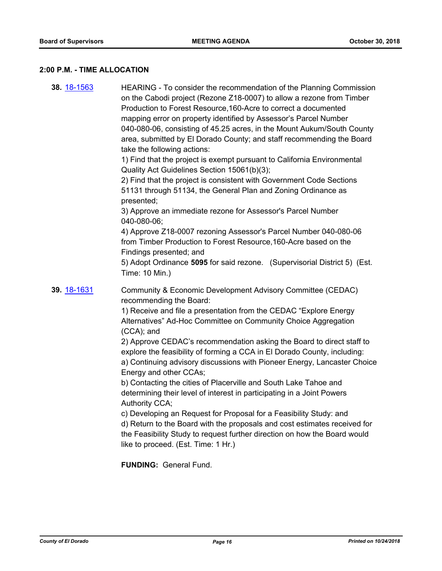# **2:00 P.M. - TIME ALLOCATION**

| 38. 18-1563 | HEARING - To consider the recommendation of the Planning Commission<br>on the Cabodi project (Rezone Z18-0007) to allow a rezone from Timber<br>Production to Forest Resource, 160-Acre to correct a documented<br>mapping error on property identified by Assessor's Parcel Number<br>040-080-06, consisting of 45.25 acres, in the Mount Aukum/South County<br>area, submitted by El Dorado County; and staff recommending the Board<br>take the following actions:<br>1) Find that the project is exempt pursuant to California Environmental<br>Quality Act Guidelines Section 15061(b)(3);<br>2) Find that the project is consistent with Government Code Sections<br>51131 through 51134, the General Plan and Zoning Ordinance as<br>presented;<br>3) Approve an immediate rezone for Assessor's Parcel Number<br>040-080-06;<br>4) Approve Z18-0007 rezoning Assessor's Parcel Number 040-080-06<br>from Timber Production to Forest Resource, 160-Acre based on the<br>Findings presented; and<br>5) Adopt Ordinance 5095 for said rezone. (Supervisorial District 5) (Est.<br>Time: 10 Min.) |
|-------------|--------------------------------------------------------------------------------------------------------------------------------------------------------------------------------------------------------------------------------------------------------------------------------------------------------------------------------------------------------------------------------------------------------------------------------------------------------------------------------------------------------------------------------------------------------------------------------------------------------------------------------------------------------------------------------------------------------------------------------------------------------------------------------------------------------------------------------------------------------------------------------------------------------------------------------------------------------------------------------------------------------------------------------------------------------------------------------------------------------|
| 39. 18-1631 | Community & Economic Development Advisory Committee (CEDAC)<br>recommending the Board:<br>1) Receive and file a presentation from the CEDAC "Explore Energy<br>Alternatives" Ad-Hoc Committee on Community Choice Aggregation<br>$(CCA)$ ; and<br>2) Approve CEDAC's recommendation asking the Board to direct staff to<br>explore the feasibility of forming a CCA in El Dorado County, including:<br>a) Continuing advisory discussions with Pioneer Energy, Lancaster Choice<br>Energy and other CCAs;<br>b) Contacting the cities of Placerville and South Lake Tahoe and<br>determining their level of interest in participating in a Joint Powers<br>Authority CCA;<br>c) Developing an Request for Proposal for a Feasibility Study: and<br>d) Return to the Board with the proposals and cost estimates received for<br>the Feasibility Study to request further direction on how the Board would<br>like to proceed. (Est. Time: 1 Hr.)<br><b>FUNDING: General Fund.</b>                                                                                                                      |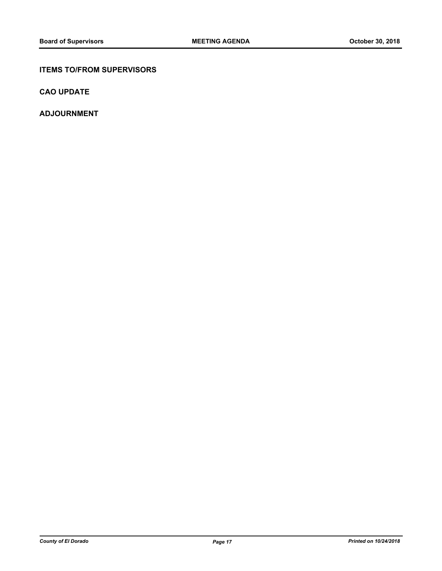### **ITEMS TO/FROM SUPERVISORS**

**CAO UPDATE**

**ADJOURNMENT**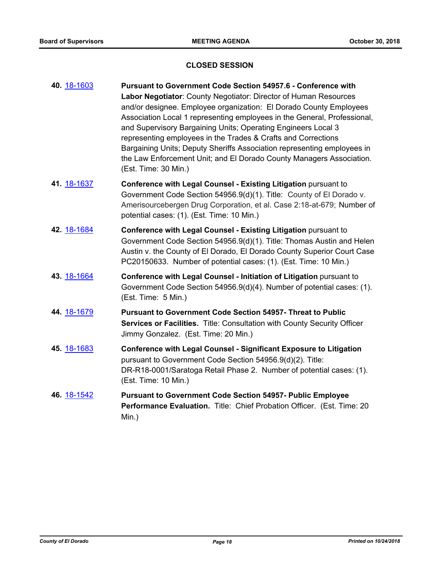### **CLOSED SESSION**

| 40. 18-1603 | Pursuant to Government Code Section 54957.6 - Conference with<br>Labor Negotiator: County Negotiator: Director of Human Resources<br>and/or designee. Employee organization: El Dorado County Employees<br>Association Local 1 representing employees in the General, Professional,<br>and Supervisory Bargaining Units; Operating Engineers Local 3<br>representing employees in the Trades & Crafts and Corrections<br>Bargaining Units; Deputy Sheriffs Association representing employees in<br>the Law Enforcement Unit; and El Dorado County Managers Association.<br>(Est. Time: 30 Min.) |
|-------------|--------------------------------------------------------------------------------------------------------------------------------------------------------------------------------------------------------------------------------------------------------------------------------------------------------------------------------------------------------------------------------------------------------------------------------------------------------------------------------------------------------------------------------------------------------------------------------------------------|
| 41. 18-1637 | Conference with Legal Counsel - Existing Litigation pursuant to<br>Government Code Section 54956.9(d)(1). Title: County of El Dorado v.<br>Amerisourcebergen Drug Corporation, et al. Case 2:18-at-679; Number of<br>potential cases: (1). (Est. Time: 10 Min.)                                                                                                                                                                                                                                                                                                                                  |
| 42. 18-1684 | Conference with Legal Counsel - Existing Litigation pursuant to<br>Government Code Section 54956.9(d)(1). Title: Thomas Austin and Helen<br>Austin v. the County of El Dorado, El Dorado County Superior Court Case<br>PC20150633. Number of potential cases: (1). (Est. Time: 10 Min.)                                                                                                                                                                                                                                                                                                          |
| 43. 18-1664 | Conference with Legal Counsel - Initiation of Litigation pursuant to<br>Government Code Section 54956.9(d)(4). Number of potential cases: (1).<br>(Est. Time: 5 Min.)                                                                                                                                                                                                                                                                                                                                                                                                                            |
| 44. 18-1679 | <b>Pursuant to Government Code Section 54957- Threat to Public</b><br>Services or Facilities. Title: Consultation with County Security Officer<br>Jimmy Gonzalez. (Est. Time: 20 Min.)                                                                                                                                                                                                                                                                                                                                                                                                           |
| 45. 18-1683 | <b>Conference with Legal Counsel - Significant Exposure to Litigation</b><br>pursuant to Government Code Section 54956.9(d)(2). Title:<br>DR-R18-0001/Saratoga Retail Phase 2. Number of potential cases: (1).<br>(Est. Time: 10 Min.)                                                                                                                                                                                                                                                                                                                                                           |
| 46. 18-1542 | <b>Pursuant to Government Code Section 54957- Public Employee</b><br>Performance Evaluation. Title: Chief Probation Officer. (Est. Time: 20<br>Min.)                                                                                                                                                                                                                                                                                                                                                                                                                                             |